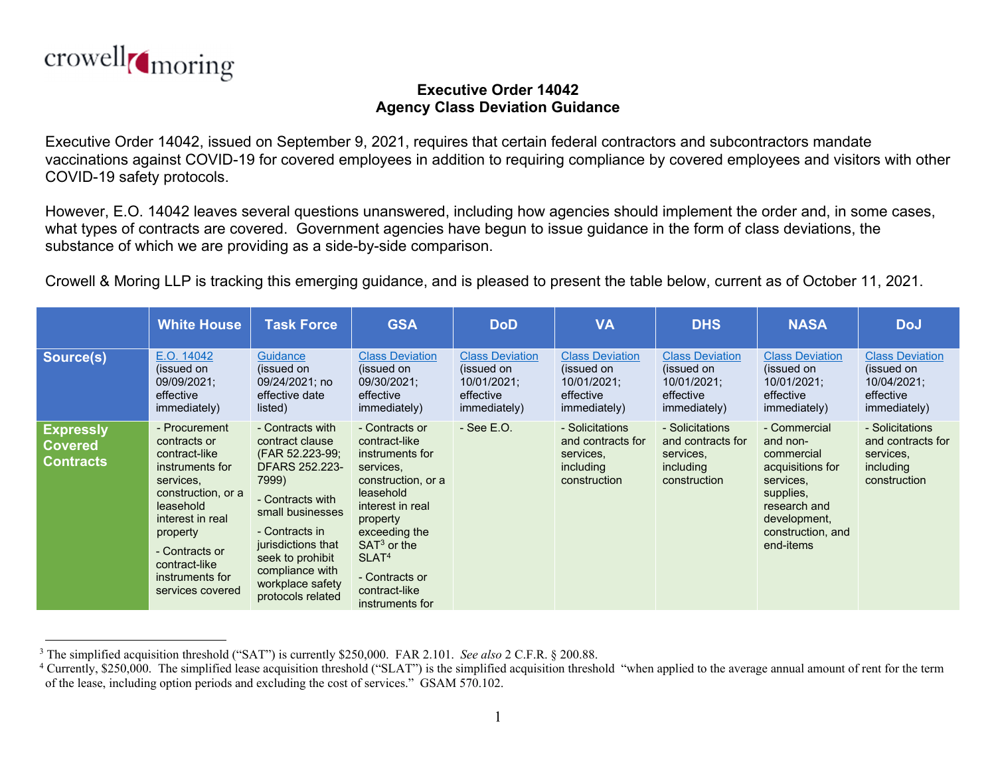

## **Executive Order 14042 Agency Class Deviation Guidance**

Executive Order 14042, issued on September 9, 2021, requires that certain federal contractors and subcontractors mandate vaccinations against COVID-19 for covered employees in addition to requiring compliance by covered employees and visitors with other COVID-19 safety protocols.

However, E.O. 14042 leaves several questions unanswered, including how agencies should implement the order and, in some cases, what types of contracts are covered. Government agencies have begun to issue guidance in the form of class deviations, the substance of which we are providing as a side-by-side comparison.

Crowell & Moring LLP is tracking this emerging guidance, and is pleased to present the table below, current as of October 11, 2021.

|                                                        | <b>White House</b>                                                                                                                                                                                                          | <b>Task Force</b>                                                                                                                                                                                                                                 | <b>GSA</b>                                                                                                                                                                                                                                      | <b>DoD</b>                                                                       | <b>VA</b>                                                                        | <b>DHS</b>                                                                       | <b>NASA</b>                                                                                                                                            | <b>DoJ</b>                                                                       |
|--------------------------------------------------------|-----------------------------------------------------------------------------------------------------------------------------------------------------------------------------------------------------------------------------|---------------------------------------------------------------------------------------------------------------------------------------------------------------------------------------------------------------------------------------------------|-------------------------------------------------------------------------------------------------------------------------------------------------------------------------------------------------------------------------------------------------|----------------------------------------------------------------------------------|----------------------------------------------------------------------------------|----------------------------------------------------------------------------------|--------------------------------------------------------------------------------------------------------------------------------------------------------|----------------------------------------------------------------------------------|
| Source(s)                                              | E.O. 14042<br>(issued on<br>09/09/2021;<br>effective<br>immediately)                                                                                                                                                        | <b>Guidance</b><br>(issued on<br>09/24/2021; no<br>effective date<br>listed)                                                                                                                                                                      | <b>Class Deviation</b><br>(issued on<br>09/30/2021;<br>effective<br>immediately)                                                                                                                                                                | <b>Class Deviation</b><br>(issued on<br>10/01/2021;<br>effective<br>immediately) | <b>Class Deviation</b><br>(issued on<br>10/01/2021;<br>effective<br>immediately) | <b>Class Deviation</b><br>(issued on<br>10/01/2021;<br>effective<br>immediately) | <b>Class Deviation</b><br>(issued on<br>10/01/2021;<br>effective<br>immediately)                                                                       | <b>Class Deviation</b><br>(issued on<br>10/04/2021;<br>effective<br>immediately) |
| <b>Expressly</b><br><b>Covered</b><br><b>Contracts</b> | - Procurement<br>contracts or<br>contract-like<br>instruments for<br>services,<br>construction, or a<br>leasehold<br>interest in real<br>property<br>- Contracts or<br>contract-like<br>instruments for<br>services covered | - Contracts with<br>contract clause<br>(FAR 52.223-99;<br>DFARS 252.223-<br>7999)<br>- Contracts with<br>small businesses<br>- Contracts in<br>jurisdictions that<br>seek to prohibit<br>compliance with<br>workplace safety<br>protocols related | - Contracts or<br>contract-like<br>instruments for<br>services,<br>construction, or a<br>leasehold<br>interest in real<br>property<br>exceeding the<br>$SAT3$ or the<br>SLAT <sup>4</sup><br>- Contracts or<br>contract-like<br>instruments for | $-$ See E.O.                                                                     | - Solicitations<br>and contracts for<br>services,<br>including<br>construction   | - Solicitations<br>and contracts for<br>services,<br>including<br>construction   | - Commercial<br>and non-<br>commercial<br>acquisitions for<br>services,<br>supplies,<br>research and<br>development,<br>construction, and<br>end-items | - Solicitations<br>and contracts for<br>services,<br>including<br>construction   |

<sup>3</sup> The simplified acquisition threshold ("SAT") is currently \$250,000. FAR 2.101. *See also* 2 C.F.R. § 200.88.

<sup>&</sup>lt;sup>4</sup> Currently, \$250,000. The simplified lease acquisition threshold ("SLAT") is the simplified acquisition threshold "when applied to the average annual amount of rent for the term of the lease, including option periods and excluding the cost of services." GSAM 570.102.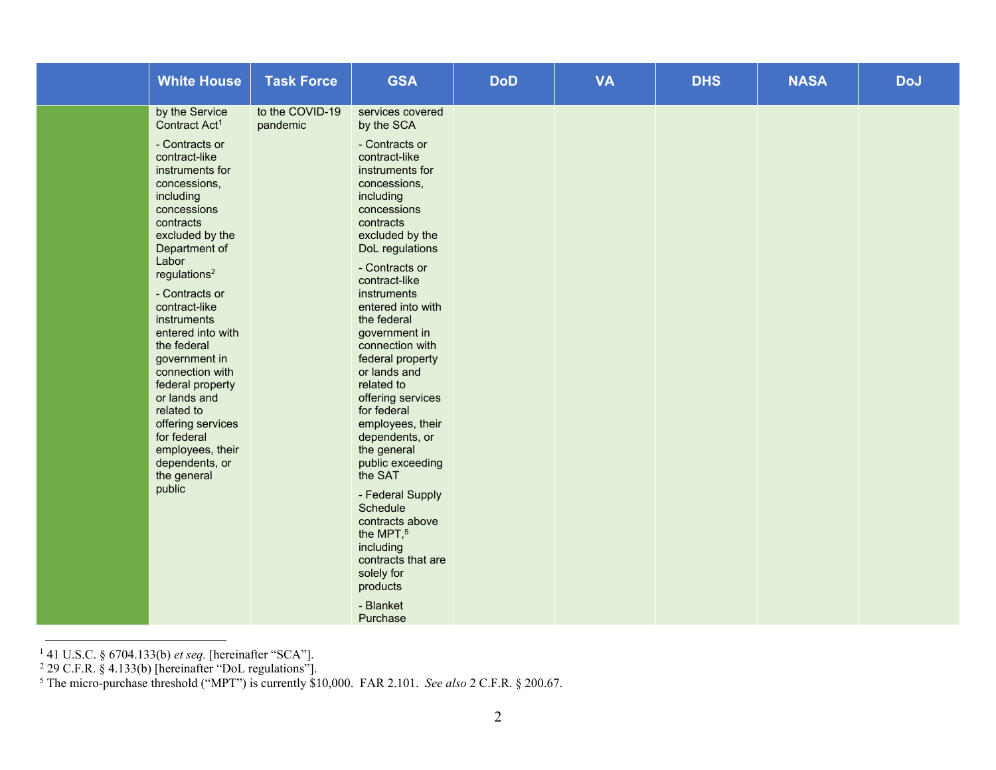| <b>White House</b>                                                                                                                                                                                                                                                                                                                                                                                                                                                                                                 | <b>Task Force</b>           | <b>GSA</b>                                                                                                                                                                                                                                                                                                                                                                                                                                                                                                                                                                                                                                                | <b>DoD</b> | <b>VA</b> | <b>DHS</b> | <b>NASA</b> | <b>DoJ</b> |
|--------------------------------------------------------------------------------------------------------------------------------------------------------------------------------------------------------------------------------------------------------------------------------------------------------------------------------------------------------------------------------------------------------------------------------------------------------------------------------------------------------------------|-----------------------------|-----------------------------------------------------------------------------------------------------------------------------------------------------------------------------------------------------------------------------------------------------------------------------------------------------------------------------------------------------------------------------------------------------------------------------------------------------------------------------------------------------------------------------------------------------------------------------------------------------------------------------------------------------------|------------|-----------|------------|-------------|------------|
| by the Service<br>Contract Act <sup>1</sup><br>- Contracts or<br>contract-like<br>instruments for<br>concessions,<br>including<br>concessions<br>contracts<br>excluded by the<br>Department of<br>Labor<br>regulations <sup>2</sup><br>- Contracts or<br>contract-like<br>instruments<br>entered into with<br>the federal<br>government in<br>connection with<br>federal property<br>or lands and<br>related to<br>offering services<br>for federal<br>employees, their<br>dependents, or<br>the general<br>public | to the COVID-19<br>pandemic | services covered<br>by the SCA<br>- Contracts or<br>contract-like<br>instruments for<br>concessions,<br>including<br>concessions<br>contracts<br>excluded by the<br>DoL regulations<br>- Contracts or<br>contract-like<br>instruments<br>entered into with<br>the federal<br>government in<br>connection with<br>federal property<br>or lands and<br>related to<br>offering services<br>for federal<br>employees, their<br>dependents, or<br>the general<br>public exceeding<br>the SAT<br>- Federal Supply<br>Schedule<br>contracts above<br>the MPT, <sup>5</sup><br>including<br>contracts that are<br>solely for<br>products<br>- Blanket<br>Purchase |            |           |            |             |            |

<sup>1 41</sup> U.S.C. § 6704.133(b) *et seq.* [hereinafter "SCA"].

 $2$  29 C.F.R. § 4.133(b) [hereinafter "DoL regulations"].

<sup>5</sup> The micro-purchase threshold ("MPT") is currently \$10,000. FAR 2.101. *See also* 2 C.F.R. § 200.67.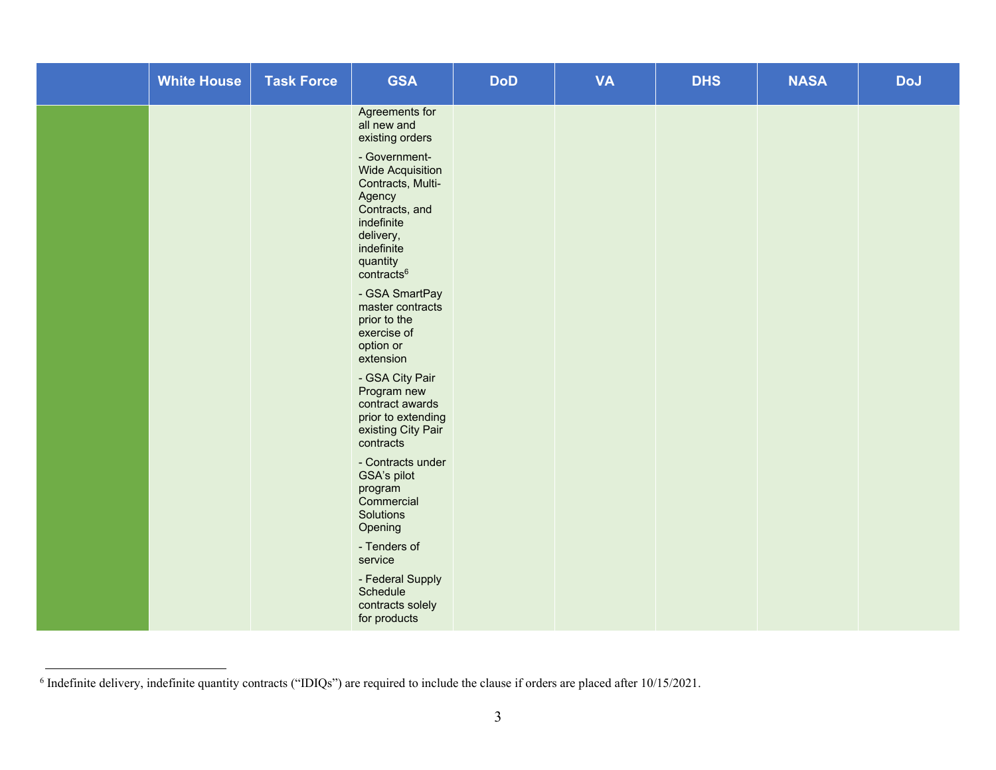| <b>White House</b> | <b>Task Force</b> | <b>GSA</b>                                                                                                                                                                                                                                                                                                                                                                                                                                                                                                                                                                                                                    | <b>DoD</b> | <b>VA</b> | <b>DHS</b> | <b>NASA</b> | <b>DoJ</b> |
|--------------------|-------------------|-------------------------------------------------------------------------------------------------------------------------------------------------------------------------------------------------------------------------------------------------------------------------------------------------------------------------------------------------------------------------------------------------------------------------------------------------------------------------------------------------------------------------------------------------------------------------------------------------------------------------------|------------|-----------|------------|-------------|------------|
|                    |                   | Agreements for<br>all new and<br>existing orders<br>- Government-<br><b>Wide Acquisition</b><br>Contracts, Multi-<br>Agency<br>Contracts, and<br>indefinite<br>delivery,<br>indefinite<br>quantity<br>contracts <sup>6</sup><br>- GSA SmartPay<br>master contracts<br>prior to the<br>exercise of<br>option or<br>extension<br>- GSA City Pair<br>Program new<br>contract awards<br>prior to extending<br>existing City Pair<br>contracts<br>- Contracts under<br>GSA's pilot<br>program<br>Commercial<br>Solutions<br>Opening<br>- Tenders of<br>service<br>- Federal Supply<br>Schedule<br>contracts solely<br>for products |            |           |            |             |            |

<sup>6</sup> Indefinite delivery, indefinite quantity contracts ("IDIQs") are required to include the clause if orders are placed after 10/15/2021.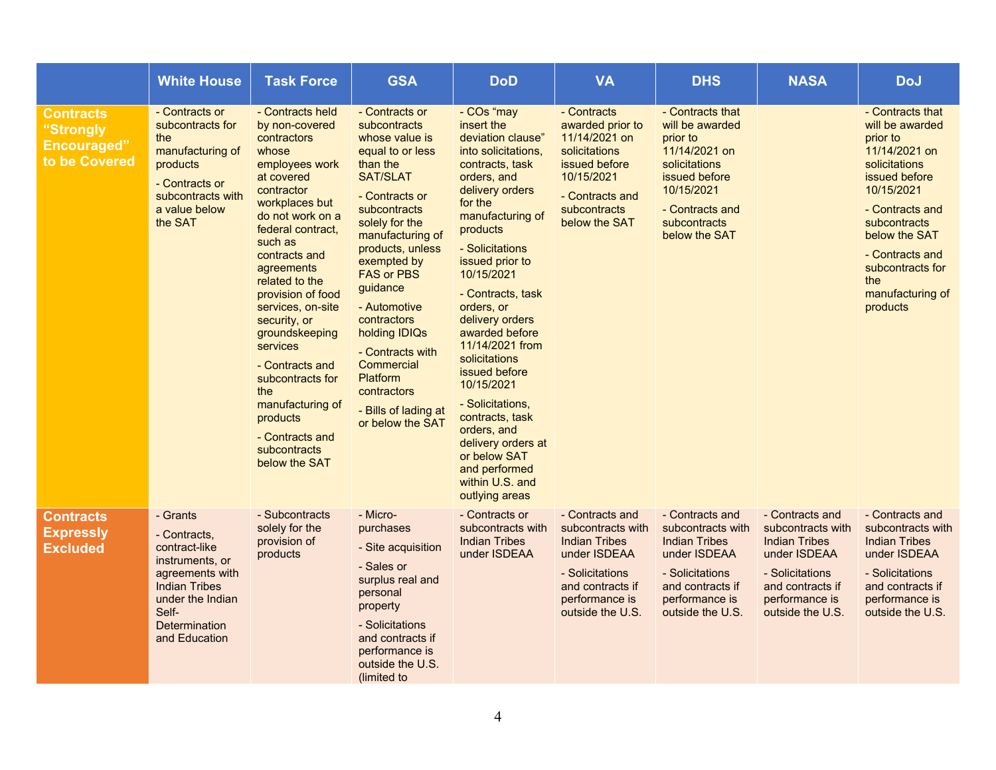|                                                                      | <b>White House</b>                                                                                                                                                            | <b>Task Force</b>                                                                                                                                                                                                                                                                                                                                                                                                                                                | <b>GSA</b>                                                                                                                                                                                                                                                                                                                                                                                                                    | <b>DoD</b>                                                                                                                                                                                                                                                                                                                                                                                                                                                                                                            | <b>VA</b>                                                                                                                                                 | <b>DHS</b>                                                                                                                                                           | <b>NASA</b>                                                                                                                                               | <b>DoJ</b>                                                                                                                                                                                                                                         |
|----------------------------------------------------------------------|-------------------------------------------------------------------------------------------------------------------------------------------------------------------------------|------------------------------------------------------------------------------------------------------------------------------------------------------------------------------------------------------------------------------------------------------------------------------------------------------------------------------------------------------------------------------------------------------------------------------------------------------------------|-------------------------------------------------------------------------------------------------------------------------------------------------------------------------------------------------------------------------------------------------------------------------------------------------------------------------------------------------------------------------------------------------------------------------------|-----------------------------------------------------------------------------------------------------------------------------------------------------------------------------------------------------------------------------------------------------------------------------------------------------------------------------------------------------------------------------------------------------------------------------------------------------------------------------------------------------------------------|-----------------------------------------------------------------------------------------------------------------------------------------------------------|----------------------------------------------------------------------------------------------------------------------------------------------------------------------|-----------------------------------------------------------------------------------------------------------------------------------------------------------|----------------------------------------------------------------------------------------------------------------------------------------------------------------------------------------------------------------------------------------------------|
| <b>Contracts</b><br>"Strongly<br><b>Encouraged"</b><br>to be Covered | - Contracts or<br>subcontracts for<br>the<br>manufacturing of<br>products<br>- Contracts or<br>subcontracts with<br>a value below<br>the SAT                                  | - Contracts held<br>by non-covered<br>contractors<br>whose<br>employees work<br>at covered<br>contractor<br>workplaces but<br>do not work on a<br>federal contract,<br>such as<br>contracts and<br>agreements<br>related to the<br>provision of food<br>services, on-site<br>security, or<br>groundskeeping<br><b>services</b><br>- Contracts and<br>subcontracts for<br>the<br>manufacturing of<br>products<br>- Contracts and<br>subcontracts<br>below the SAT | - Contracts or<br><b>subcontracts</b><br>whose value is<br>equal to or less<br>than the<br><b>SAT/SLAT</b><br>- Contracts or<br><b>subcontracts</b><br>solely for the<br>manufacturing of<br>products, unless<br>exempted by<br><b>FAS or PBS</b><br>guidance<br>- Automotive<br>contractors<br>holding IDIQs<br>- Contracts with<br>Commercial<br><b>Platform</b><br>contractors<br>- Bills of lading at<br>or below the SAT | - COs "may<br>insert the<br>deviation clause"<br>into solicitations,<br>contracts, task<br>orders, and<br>delivery orders<br>for the<br>manufacturing of<br>products<br>- Solicitations<br>issued prior to<br>10/15/2021<br>- Contracts, task<br>orders, or<br>delivery orders<br>awarded before<br>11/14/2021 from<br>solicitations<br>issued before<br>10/15/2021<br>- Solicitations,<br>contracts, task<br>orders, and<br>delivery orders at<br>or below SAT<br>and performed<br>within U.S. and<br>outlying areas | - Contracts<br>awarded prior to<br>11/14/2021 on<br>solicitations<br>issued before<br>10/15/2021<br>- Contracts and<br>subcontracts<br>below the SAT      | - Contracts that<br>will be awarded<br>prior to<br>11/14/2021 on<br>solicitations<br>issued before<br>10/15/2021<br>- Contracts and<br>subcontracts<br>below the SAT |                                                                                                                                                           | - Contracts that<br>will be awarded<br>prior to<br>11/14/2021 on<br>solicitations<br>issued before<br>10/15/2021<br>- Contracts and<br>subcontracts<br>below the SAT<br>- Contracts and<br>subcontracts for<br>the<br>manufacturing of<br>products |
| <b>Contracts</b><br><b>Expressly</b><br><b>Excluded</b>              | - Grants<br>- Contracts,<br>contract-like<br>instruments, or<br>agreements with<br><b>Indian Tribes</b><br>under the Indian<br>Self-<br><b>Determination</b><br>and Education | - Subcontracts<br>solely for the<br>provision of<br>products                                                                                                                                                                                                                                                                                                                                                                                                     | - Micro-<br>purchases<br>- Site acquisition<br>- Sales or<br>surplus real and<br>personal<br>property<br>- Solicitations<br>and contracts if<br>performance is<br>outside the U.S.<br>(limited to                                                                                                                                                                                                                             | - Contracts or<br>subcontracts with<br><b>Indian Tribes</b><br>under ISDEAA                                                                                                                                                                                                                                                                                                                                                                                                                                           | - Contracts and<br>subcontracts with<br><b>Indian Tribes</b><br>under ISDEAA<br>- Solicitations<br>and contracts if<br>performance is<br>outside the U.S. | - Contracts and<br>subcontracts with<br><b>Indian Tribes</b><br>under ISDEAA<br>- Solicitations<br>and contracts if<br>performance is<br>outside the U.S.            | - Contracts and<br>subcontracts with<br><b>Indian Tribes</b><br>under ISDEAA<br>- Solicitations<br>and contracts if<br>performance is<br>outside the U.S. | - Contracts and<br>subcontracts with<br><b>Indian Tribes</b><br>under ISDEAA<br>- Solicitations<br>and contracts if<br>performance is<br>outside the U.S.                                                                                          |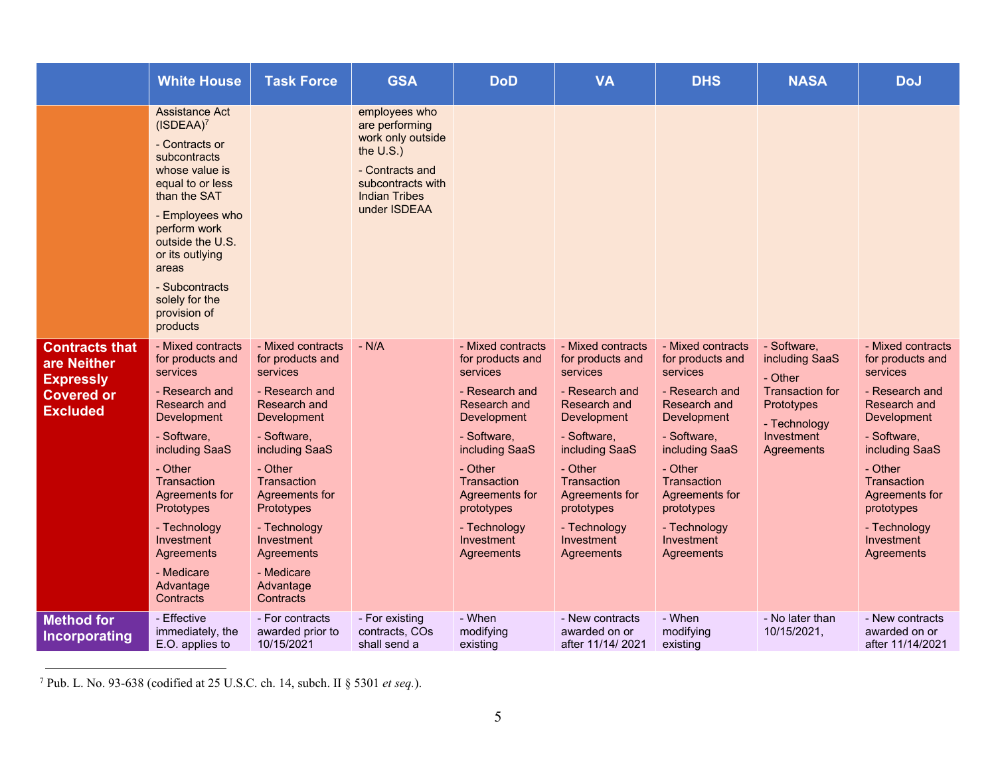|                                                                                                  | <b>White House</b>                                                                                                                                                                                                                                                                | <b>Task Force</b>                                                                                                                                                                                                                                                                 | <b>GSA</b>                                                                                                                                           | <b>DoD</b>                                                                                                                                                                                                                                | <b>VA</b>                                                                                                                                                                                                                                 | <b>DHS</b>                                                                                                                                                                                                                                | <b>NASA</b>                                                                                                                  | <b>DoJ</b>                                                                                                                                                                                                                                |
|--------------------------------------------------------------------------------------------------|-----------------------------------------------------------------------------------------------------------------------------------------------------------------------------------------------------------------------------------------------------------------------------------|-----------------------------------------------------------------------------------------------------------------------------------------------------------------------------------------------------------------------------------------------------------------------------------|------------------------------------------------------------------------------------------------------------------------------------------------------|-------------------------------------------------------------------------------------------------------------------------------------------------------------------------------------------------------------------------------------------|-------------------------------------------------------------------------------------------------------------------------------------------------------------------------------------------------------------------------------------------|-------------------------------------------------------------------------------------------------------------------------------------------------------------------------------------------------------------------------------------------|------------------------------------------------------------------------------------------------------------------------------|-------------------------------------------------------------------------------------------------------------------------------------------------------------------------------------------------------------------------------------------|
|                                                                                                  | Assistance Act<br>$(ISDEAA)^7$<br>- Contracts or<br>subcontracts<br>whose value is<br>equal to or less<br>than the SAT<br>- Employees who<br>perform work<br>outside the U.S.<br>or its outlying<br>areas<br>- Subcontracts<br>solely for the<br>provision of<br>products         |                                                                                                                                                                                                                                                                                   | employees who<br>are performing<br>work only outside<br>the $U.S.$ )<br>- Contracts and<br>subcontracts with<br><b>Indian Tribes</b><br>under ISDEAA |                                                                                                                                                                                                                                           |                                                                                                                                                                                                                                           |                                                                                                                                                                                                                                           |                                                                                                                              |                                                                                                                                                                                                                                           |
| <b>Contracts that</b><br>are Neither<br><b>Expressly</b><br><b>Covered or</b><br><b>Excluded</b> | - Mixed contracts<br>for products and<br>services<br>- Research and<br>Research and<br>Development<br>- Software,<br>including SaaS<br>- Other<br>Transaction<br>Agreements for<br>Prototypes<br>- Technology<br>Investment<br>Agreements<br>- Medicare<br>Advantage<br>Contracts | - Mixed contracts<br>for products and<br>services<br>- Research and<br>Research and<br>Development<br>- Software,<br>including SaaS<br>- Other<br>Transaction<br>Agreements for<br>Prototypes<br>- Technology<br>Investment<br>Agreements<br>- Medicare<br>Advantage<br>Contracts | $-N/A$                                                                                                                                               | - Mixed contracts<br>for products and<br>services<br>- Research and<br>Research and<br>Development<br>- Software,<br>including SaaS<br>- Other<br>Transaction<br>Agreements for<br>prototypes<br>- Technology<br>Investment<br>Agreements | - Mixed contracts<br>for products and<br>services<br>- Research and<br>Research and<br>Development<br>- Software,<br>including SaaS<br>- Other<br>Transaction<br>Agreements for<br>prototypes<br>- Technology<br>Investment<br>Agreements | - Mixed contracts<br>for products and<br>services<br>- Research and<br>Research and<br>Development<br>- Software,<br>including SaaS<br>- Other<br>Transaction<br>Agreements for<br>prototypes<br>- Technology<br>Investment<br>Agreements | - Software,<br>including SaaS<br>- Other<br><b>Transaction for</b><br>Prototypes<br>- Technology<br>Investment<br>Agreements | - Mixed contracts<br>for products and<br>services<br>- Research and<br>Research and<br>Development<br>- Software,<br>including SaaS<br>- Other<br>Transaction<br>Agreements for<br>prototypes<br>- Technology<br>Investment<br>Agreements |
| <b>Method for</b><br>Incorporating                                                               | - Effective<br>immediately, the<br>E.O. applies to                                                                                                                                                                                                                                | - For contracts<br>awarded prior to<br>10/15/2021                                                                                                                                                                                                                                 | - For existing<br>contracts, COs<br>shall send a                                                                                                     | - When<br>modifying<br>existing                                                                                                                                                                                                           | - New contracts<br>awarded on or<br>after 11/14/2021                                                                                                                                                                                      | - When<br>modifying<br>existing                                                                                                                                                                                                           | - No later than<br>10/15/2021,                                                                                               | - New contracts<br>awarded on or<br>after 11/14/2021                                                                                                                                                                                      |

<sup>7</sup> Pub. L. No. 93-638 (codified at 25 U.S.C. ch. 14, subch. II § 5301 *et seq.*).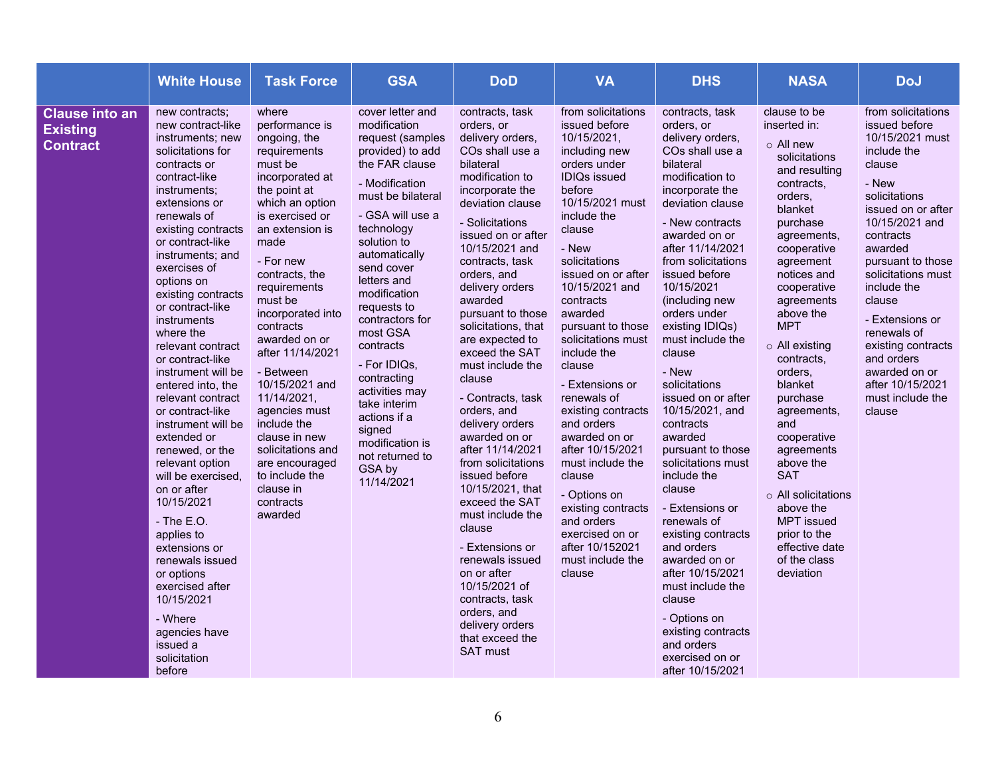|                                                             | <b>White House</b>                                                                                                                                                                                                                                                                                                                                                                                                                                                                                                                                                                                                                                                                                                                                                            | <b>Task Force</b>                                                                                                                                                                                                                                                                                                                                                                                                                                                                                    | <b>GSA</b>                                                                                                                                                                                                                                                                                                                                                                                                                                                           | <b>DoD</b>                                                                                                                                                                                                                                                                                                                                                                                                                                                                                                                                                                                                                                                                                                                                                    | <b>VA</b>                                                                                                                                                                                                                                                                                                                                                                                                                                                                                                                                                                                       | <b>DHS</b>                                                                                                                                                                                                                                                                                                                                                                                                                                                                                                                                                                                                                                                                                                                                     | <b>NASA</b>                                                                                                                                                                                                                                                                                                                                                                                                                                                                                                                 | <b>DoJ</b>                                                                                                                                                                                                                                                                                                                                                                             |
|-------------------------------------------------------------|-------------------------------------------------------------------------------------------------------------------------------------------------------------------------------------------------------------------------------------------------------------------------------------------------------------------------------------------------------------------------------------------------------------------------------------------------------------------------------------------------------------------------------------------------------------------------------------------------------------------------------------------------------------------------------------------------------------------------------------------------------------------------------|------------------------------------------------------------------------------------------------------------------------------------------------------------------------------------------------------------------------------------------------------------------------------------------------------------------------------------------------------------------------------------------------------------------------------------------------------------------------------------------------------|----------------------------------------------------------------------------------------------------------------------------------------------------------------------------------------------------------------------------------------------------------------------------------------------------------------------------------------------------------------------------------------------------------------------------------------------------------------------|---------------------------------------------------------------------------------------------------------------------------------------------------------------------------------------------------------------------------------------------------------------------------------------------------------------------------------------------------------------------------------------------------------------------------------------------------------------------------------------------------------------------------------------------------------------------------------------------------------------------------------------------------------------------------------------------------------------------------------------------------------------|-------------------------------------------------------------------------------------------------------------------------------------------------------------------------------------------------------------------------------------------------------------------------------------------------------------------------------------------------------------------------------------------------------------------------------------------------------------------------------------------------------------------------------------------------------------------------------------------------|------------------------------------------------------------------------------------------------------------------------------------------------------------------------------------------------------------------------------------------------------------------------------------------------------------------------------------------------------------------------------------------------------------------------------------------------------------------------------------------------------------------------------------------------------------------------------------------------------------------------------------------------------------------------------------------------------------------------------------------------|-----------------------------------------------------------------------------------------------------------------------------------------------------------------------------------------------------------------------------------------------------------------------------------------------------------------------------------------------------------------------------------------------------------------------------------------------------------------------------------------------------------------------------|----------------------------------------------------------------------------------------------------------------------------------------------------------------------------------------------------------------------------------------------------------------------------------------------------------------------------------------------------------------------------------------|
| <b>Clause into an</b><br><b>Existing</b><br><b>Contract</b> | new contracts;<br>new contract-like<br>instruments; new<br>solicitations for<br>contracts or<br>contract-like<br>instruments;<br>extensions or<br>renewals of<br>existing contracts<br>or contract-like<br>instruments; and<br>exercises of<br>options on<br>existing contracts<br>or contract-like<br>instruments<br>where the<br>relevant contract<br>or contract-like<br>instrument will be<br>entered into, the<br>relevant contract<br>or contract-like<br>instrument will be<br>extended or<br>renewed, or the<br>relevant option<br>will be exercised.<br>on or after<br>10/15/2021<br>$-$ The E.O.<br>applies to<br>extensions or<br>renewals issued<br>or options<br>exercised after<br>10/15/2021<br>- Where<br>agencies have<br>issued a<br>solicitation<br>before | where<br>performance is<br>ongoing, the<br>requirements<br>must be<br>incorporated at<br>the point at<br>which an option<br>is exercised or<br>an extension is<br>made<br>- For new<br>contracts, the<br>requirements<br>must be<br>incorporated into<br>contracts<br>awarded on or<br>after 11/14/2021<br>- Between<br>10/15/2021 and<br>11/14/2021,<br>agencies must<br>include the<br>clause in new<br>solicitations and<br>are encouraged<br>to include the<br>clause in<br>contracts<br>awarded | cover letter and<br>modification<br>request (samples<br>provided) to add<br>the FAR clause<br>- Modification<br>must be bilateral<br>- GSA will use a<br>technology<br>solution to<br>automatically<br>send cover<br>letters and<br>modification<br>requests to<br>contractors for<br>most GSA<br>contracts<br>- For IDIQs,<br>contracting<br>activities may<br>take interim<br>actions if a<br>signed<br>modification is<br>not returned to<br>GSA by<br>11/14/2021 | contracts, task<br>orders, or<br>delivery orders,<br>COs shall use a<br>bilateral<br>modification to<br>incorporate the<br>deviation clause<br>- Solicitations<br>issued on or after<br>10/15/2021 and<br>contracts, task<br>orders, and<br>delivery orders<br>awarded<br>pursuant to those<br>solicitations, that<br>are expected to<br>exceed the SAT<br>must include the<br>clause<br>- Contracts, task<br>orders, and<br>delivery orders<br>awarded on or<br>after 11/14/2021<br>from solicitations<br>issued before<br>10/15/2021, that<br>exceed the SAT<br>must include the<br>clause<br>- Extensions or<br>renewals issued<br>on or after<br>10/15/2021 of<br>contracts, task<br>orders, and<br>delivery orders<br>that exceed the<br><b>SAT must</b> | from solicitations<br>issued before<br>10/15/2021,<br>including new<br>orders under<br><b>IDIQs issued</b><br>before<br>10/15/2021 must<br>include the<br>clause<br>- New<br>solicitations<br>issued on or after<br>10/15/2021 and<br>contracts<br>awarded<br>pursuant to those<br>solicitations must<br>include the<br>clause<br>- Extensions or<br>renewals of<br>existing contracts<br>and orders<br>awarded on or<br>after 10/15/2021<br>must include the<br>clause<br>- Options on<br>existing contracts<br>and orders<br>exercised on or<br>after 10/152021<br>must include the<br>clause | contracts, task<br>orders, or<br>delivery orders,<br>COs shall use a<br>bilateral<br>modification to<br>incorporate the<br>deviation clause<br>- New contracts<br>awarded on or<br>after 11/14/2021<br>from solicitations<br>issued before<br>10/15/2021<br>(including new<br>orders under<br>existing IDIQs)<br>must include the<br>clause<br>- New<br>solicitations<br>issued on or after<br>10/15/2021, and<br>contracts<br>awarded<br>pursuant to those<br>solicitations must<br>include the<br>clause<br>- Extensions or<br>renewals of<br>existing contracts<br>and orders<br>awarded on or<br>after 10/15/2021<br>must include the<br>clause<br>- Options on<br>existing contracts<br>and orders<br>exercised on or<br>after 10/15/2021 | clause to be<br>inserted in:<br>o All new<br>solicitations<br>and resulting<br>contracts,<br>orders,<br>blanket<br>purchase<br>agreements,<br>cooperative<br>agreement<br>notices and<br>cooperative<br>agreements<br>above the<br><b>MPT</b><br>$\circ$ All existing<br>contracts,<br>orders,<br>blanket<br>purchase<br>agreements,<br>and<br>cooperative<br>agreements<br>above the<br><b>SAT</b><br>o All solicitations<br>above the<br><b>MPT</b> issued<br>prior to the<br>effective date<br>of the class<br>deviation | from solicitations<br>issued before<br>10/15/2021 must<br>include the<br>clause<br>- New<br>solicitations<br>issued on or after<br>10/15/2021 and<br>contracts<br>awarded<br>pursuant to those<br>solicitations must<br>include the<br>clause<br>- Extensions or<br>renewals of<br>existing contracts<br>and orders<br>awarded on or<br>after 10/15/2021<br>must include the<br>clause |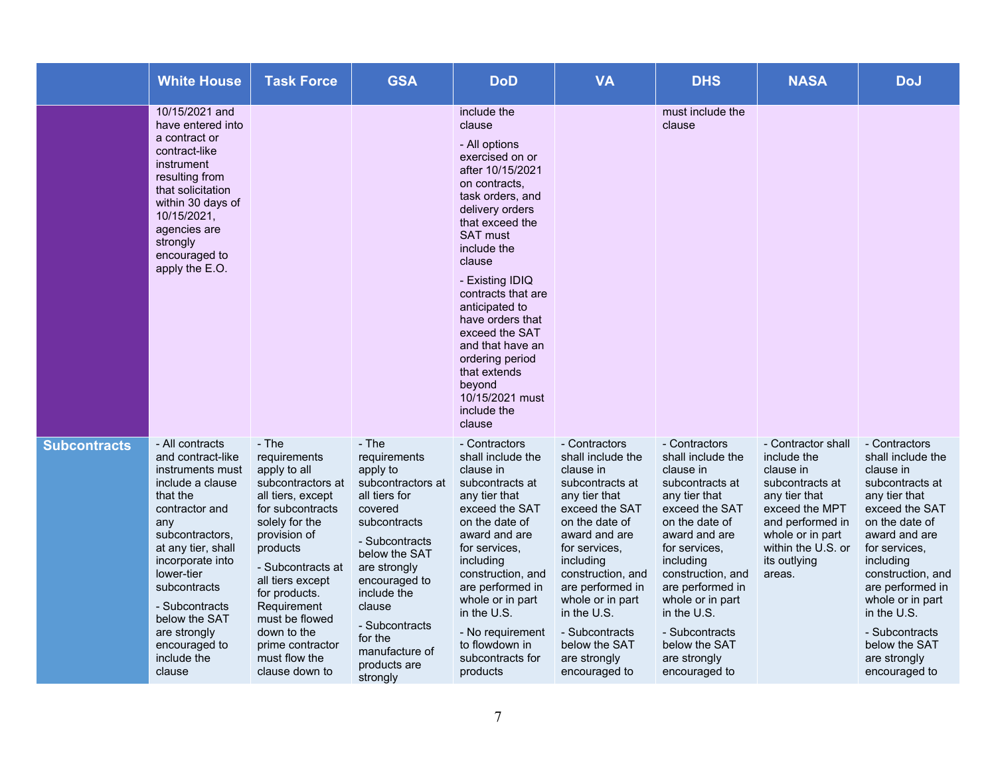|                     | <b>White House</b>                                                                                                                                                                                                                                                                                        | <b>Task Force</b>                                                                                                                                                                                                                                                                                                  | <b>GSA</b>                                                                                                                                                                                                                                                                 | <b>DoD</b>                                                                                                                                                                                                                                                                                                                                                                                                         | <b>VA</b>                                                                                                                                                                                                                                                                                                              | <b>DHS</b>                                                                                                                                                                                                                                                                                                             | <b>NASA</b>                                                                                                                                                                                  | <b>DoJ</b>                                                                                                                                                                                                                                                                                                             |
|---------------------|-----------------------------------------------------------------------------------------------------------------------------------------------------------------------------------------------------------------------------------------------------------------------------------------------------------|--------------------------------------------------------------------------------------------------------------------------------------------------------------------------------------------------------------------------------------------------------------------------------------------------------------------|----------------------------------------------------------------------------------------------------------------------------------------------------------------------------------------------------------------------------------------------------------------------------|--------------------------------------------------------------------------------------------------------------------------------------------------------------------------------------------------------------------------------------------------------------------------------------------------------------------------------------------------------------------------------------------------------------------|------------------------------------------------------------------------------------------------------------------------------------------------------------------------------------------------------------------------------------------------------------------------------------------------------------------------|------------------------------------------------------------------------------------------------------------------------------------------------------------------------------------------------------------------------------------------------------------------------------------------------------------------------|----------------------------------------------------------------------------------------------------------------------------------------------------------------------------------------------|------------------------------------------------------------------------------------------------------------------------------------------------------------------------------------------------------------------------------------------------------------------------------------------------------------------------|
|                     | 10/15/2021 and<br>have entered into<br>a contract or<br>contract-like<br>instrument<br>resulting from<br>that solicitation<br>within 30 days of<br>10/15/2021,<br>agencies are<br>strongly<br>encouraged to<br>apply the E.O.                                                                             |                                                                                                                                                                                                                                                                                                                    |                                                                                                                                                                                                                                                                            | include the<br>clause<br>- All options<br>exercised on or<br>after 10/15/2021<br>on contracts.<br>task orders, and<br>delivery orders<br>that exceed the<br><b>SAT must</b><br>include the<br>clause<br>- Existing IDIQ<br>contracts that are<br>anticipated to<br>have orders that<br>exceed the SAT<br>and that have an<br>ordering period<br>that extends<br>beyond<br>10/15/2021 must<br>include the<br>clause |                                                                                                                                                                                                                                                                                                                        | must include the<br>clause                                                                                                                                                                                                                                                                                             |                                                                                                                                                                                              |                                                                                                                                                                                                                                                                                                                        |
| <b>Subcontracts</b> | - All contracts<br>and contract-like<br>instruments must<br>include a clause<br>that the<br>contractor and<br>any<br>subcontractors,<br>at any tier, shall<br>incorporate into<br>lower-tier<br>subcontracts<br>- Subcontracts<br>below the SAT<br>are strongly<br>encouraged to<br>include the<br>clause | - The<br>requirements<br>apply to all<br>subcontractors at<br>all tiers, except<br>for subcontracts<br>solely for the<br>provision of<br>products<br>- Subcontracts at<br>all tiers except<br>for products.<br>Requirement<br>must be flowed<br>down to the<br>prime contractor<br>must flow the<br>clause down to | - The<br>requirements<br>apply to<br>subcontractors at<br>all tiers for<br>covered<br>subcontracts<br>- Subcontracts<br>below the SAT<br>are strongly<br>encouraged to<br>include the<br>clause<br>- Subcontracts<br>for the<br>manufacture of<br>products are<br>strongly | - Contractors<br>shall include the<br>clause in<br>subcontracts at<br>any tier that<br>exceed the SAT<br>on the date of<br>award and are<br>for services,<br>including<br>construction, and<br>are performed in<br>whole or in part<br>in the U.S.<br>- No requirement<br>to flowdown in<br>subcontracts for<br>products                                                                                           | - Contractors<br>shall include the<br>clause in<br>subcontracts at<br>any tier that<br>exceed the SAT<br>on the date of<br>award and are<br>for services,<br>including<br>construction, and<br>are performed in<br>whole or in part<br>in the U.S.<br>- Subcontracts<br>below the SAT<br>are strongly<br>encouraged to | - Contractors<br>shall include the<br>clause in<br>subcontracts at<br>any tier that<br>exceed the SAT<br>on the date of<br>award and are<br>for services.<br>including<br>construction, and<br>are performed in<br>whole or in part<br>in the U.S.<br>- Subcontracts<br>below the SAT<br>are strongly<br>encouraged to | - Contractor shall<br>include the<br>clause in<br>subcontracts at<br>any tier that<br>exceed the MPT<br>and performed in<br>whole or in part<br>within the U.S. or<br>its outlying<br>areas. | - Contractors<br>shall include the<br>clause in<br>subcontracts at<br>any tier that<br>exceed the SAT<br>on the date of<br>award and are<br>for services.<br>including<br>construction, and<br>are performed in<br>whole or in part<br>in the U.S.<br>- Subcontracts<br>below the SAT<br>are strongly<br>encouraged to |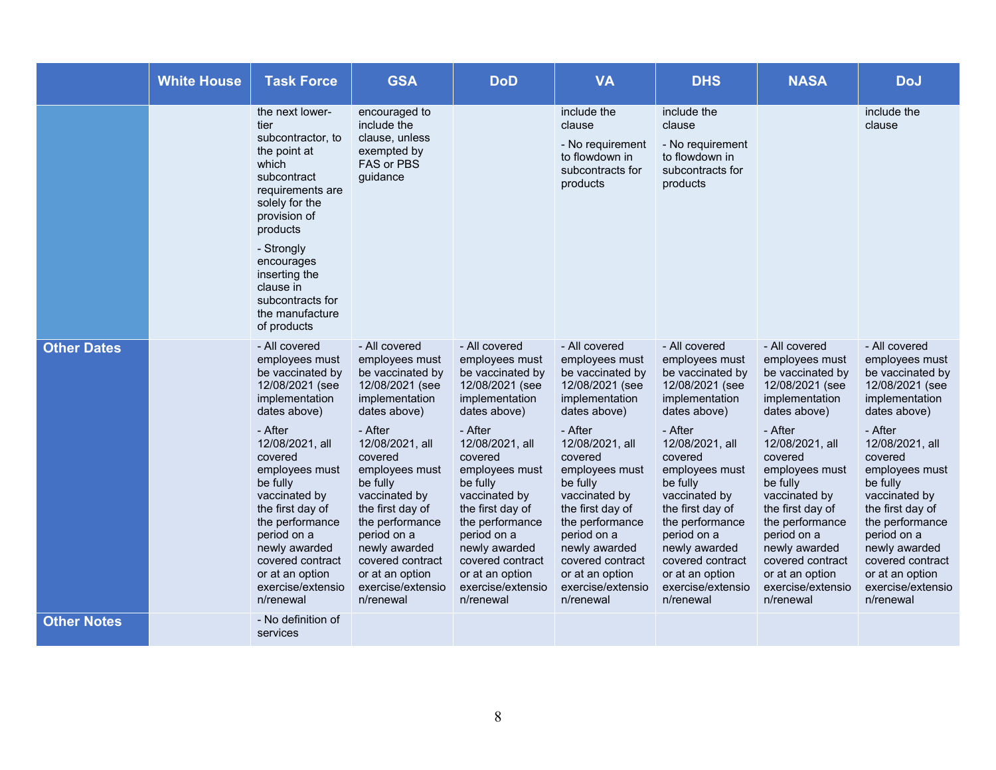|                    | <b>White House</b> | <b>Task Force</b>                                                                                                                                                                                                                                                      | <b>GSA</b>                                                                                                                                                                                                                           | <b>DoD</b>                                                                                                                                                                                                                           | <b>VA</b>                                                                                                                                                                                                                            | <b>DHS</b>                                                                                                                                                                                                                           | <b>NASA</b>                                                                                                                                                                                                                          | <b>DoJ</b>                                                                                                                                                                                                                           |
|--------------------|--------------------|------------------------------------------------------------------------------------------------------------------------------------------------------------------------------------------------------------------------------------------------------------------------|--------------------------------------------------------------------------------------------------------------------------------------------------------------------------------------------------------------------------------------|--------------------------------------------------------------------------------------------------------------------------------------------------------------------------------------------------------------------------------------|--------------------------------------------------------------------------------------------------------------------------------------------------------------------------------------------------------------------------------------|--------------------------------------------------------------------------------------------------------------------------------------------------------------------------------------------------------------------------------------|--------------------------------------------------------------------------------------------------------------------------------------------------------------------------------------------------------------------------------------|--------------------------------------------------------------------------------------------------------------------------------------------------------------------------------------------------------------------------------------|
|                    |                    | the next lower-<br>tier<br>subcontractor, to<br>the point at<br>which<br>subcontract<br>requirements are<br>solely for the<br>provision of<br>products<br>- Strongly<br>encourages<br>inserting the<br>clause in<br>subcontracts for<br>the manufacture<br>of products | encouraged to<br>include the<br>clause, unless<br>exempted by<br>FAS or PBS<br>guidance                                                                                                                                              |                                                                                                                                                                                                                                      | include the<br>clause<br>- No requirement<br>to flowdown in<br>subcontracts for<br>products                                                                                                                                          | include the<br>clause<br>- No requirement<br>to flowdown in<br>subcontracts for<br>products                                                                                                                                          |                                                                                                                                                                                                                                      | include the<br>clause                                                                                                                                                                                                                |
| <b>Other Dates</b> |                    | - All covered<br>employees must<br>be vaccinated by<br>12/08/2021 (see<br>implementation<br>dates above)                                                                                                                                                               | - All covered<br>employees must<br>be vaccinated by<br>12/08/2021 (see<br>implementation<br>dates above)                                                                                                                             | - All covered<br>employees must<br>be vaccinated by<br>12/08/2021 (see<br>implementation<br>dates above)                                                                                                                             | - All covered<br>employees must<br>be vaccinated by<br>12/08/2021 (see<br>implementation<br>dates above)                                                                                                                             | - All covered<br>employees must<br>be vaccinated by<br>12/08/2021 (see<br>implementation<br>dates above)                                                                                                                             | - All covered<br>employees must<br>be vaccinated by<br>12/08/2021 (see<br>implementation<br>dates above)                                                                                                                             | - All covered<br>employees must<br>be vaccinated by<br>12/08/2021 (see<br>implementation<br>dates above)                                                                                                                             |
|                    |                    | - After<br>12/08/2021, all<br>covered<br>employees must<br>be fully<br>vaccinated by<br>the first day of<br>the performance<br>period on a<br>newly awarded<br>covered contract<br>or at an option<br>exercise/extensio<br>n/renewal                                   | - After<br>12/08/2021, all<br>covered<br>employees must<br>be fully<br>vaccinated by<br>the first day of<br>the performance<br>period on a<br>newly awarded<br>covered contract<br>or at an option<br>exercise/extensio<br>n/renewal | - After<br>12/08/2021, all<br>covered<br>employees must<br>be fully<br>vaccinated by<br>the first day of<br>the performance<br>period on a<br>newly awarded<br>covered contract<br>or at an option<br>exercise/extensio<br>n/renewal | - After<br>12/08/2021, all<br>covered<br>employees must<br>be fully<br>vaccinated by<br>the first day of<br>the performance<br>period on a<br>newly awarded<br>covered contract<br>or at an option<br>exercise/extensio<br>n/renewal | - After<br>12/08/2021, all<br>covered<br>employees must<br>be fully<br>vaccinated by<br>the first day of<br>the performance<br>period on a<br>newly awarded<br>covered contract<br>or at an option<br>exercise/extensio<br>n/renewal | - After<br>12/08/2021, all<br>covered<br>employees must<br>be fully<br>vaccinated by<br>the first day of<br>the performance<br>period on a<br>newly awarded<br>covered contract<br>or at an option<br>exercise/extensio<br>n/renewal | - After<br>12/08/2021, all<br>covered<br>employees must<br>be fully<br>vaccinated by<br>the first day of<br>the performance<br>period on a<br>newly awarded<br>covered contract<br>or at an option<br>exercise/extensio<br>n/renewal |
| <b>Other Notes</b> |                    | - No definition of<br>services                                                                                                                                                                                                                                         |                                                                                                                                                                                                                                      |                                                                                                                                                                                                                                      |                                                                                                                                                                                                                                      |                                                                                                                                                                                                                                      |                                                                                                                                                                                                                                      |                                                                                                                                                                                                                                      |